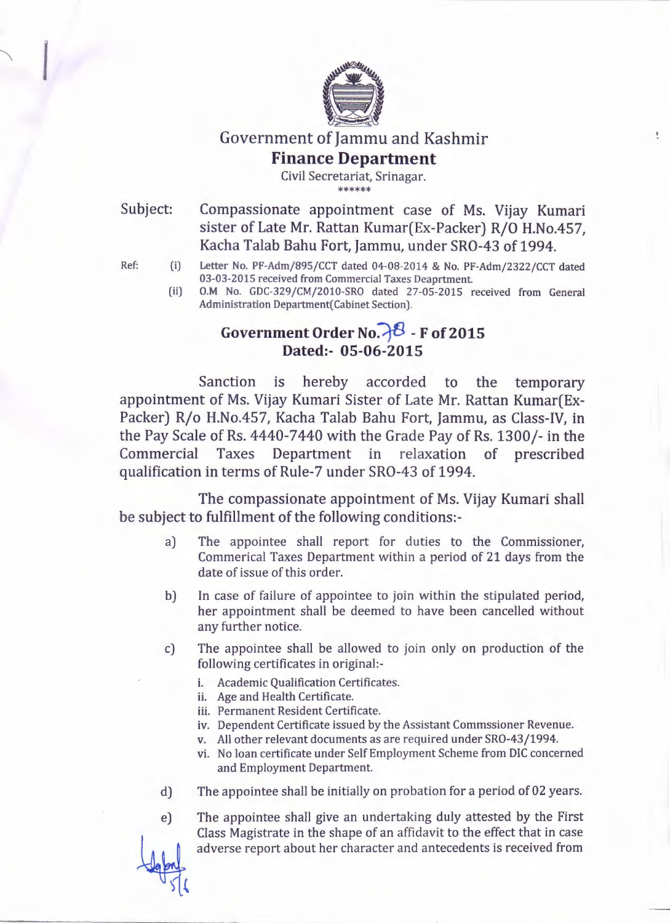

## Government of Jammu and Kashmir **Finance Department**

Civil Secretariat, Srinagar. \*\*\*\*\*\*

Subject:

Compassionate appointment case of Ms. Vijay Kumari sister of Late Mr. Rattan Kumar(Ex-Packer) R/O H.No.457, Kacha Talab Bahu Fort, Jammu, under SRO-43 of 1994.

÷.

- Ref: (i) Letter No. PF-Adm/895/CCT dated 04-08-2014 & No. PF-Adm/2322/CCT dated 03-03-2015 received from Commercial Taxes Deaprtment.
	- (ii) O.M No. GDC-329/CM/2010-SRO dated 27-05-2015 received from General Administration Department(Cabinet Section).

## Government Order No.  $\mathcal{E}$  - **F** of 2015 **Dated:- 05-06-2015**

Sanction is hereby accorded to the temporary appointment of Ms. Vijay Kumari Sister of Late Mr. Rattan Kumar(Ex-Packer) R/o H.No.457, Kacha Talab Bahu Fort, Jammu, as Class-IV, in the Pay Scale of Rs. 4440-7440 with the Grade Pay of Rs. 1300/- in the Commercial Taxes Department in relaxation of prescribed qualification in terms of Rule-7 under SRO-43 of 1994.

The compassionate appointment of Ms. Vijay Kumari shall be subject to fulfillment of the following conditions:-

- a) The appointee shall report for duties to the Commissioner, Commerical Taxes Department within a period of 21 days from the date of issue of this order.
- b) In case of failure of appointee to join within the stipulated period, her appointment shall be deemed to have been cancelled without any further notice.
- The appointee shall be allowed to join only on production of the following certificates in original: c)
	- i. Academic Qualification Certificates.
	- ii. Age and Health Certificate.
	- iii. Permanent Resident Certificate.
	- iv. Dependent Certificate issued by the Assistant Commssioner Revenue.
	- v. All other relevant documents as are required under SRO-43/1994.
	- vi. No loan certificate under Self Employment Scheme from DlC concerned and Employment Department.
- d) The appointee shall be initially on probation for a period of 02 years.
- e) The appointee shall give an undertaking duly attested by the First Class Magistrate in the shape of an affidavit to the effect that in case adverse report about her character and antecedents is received from